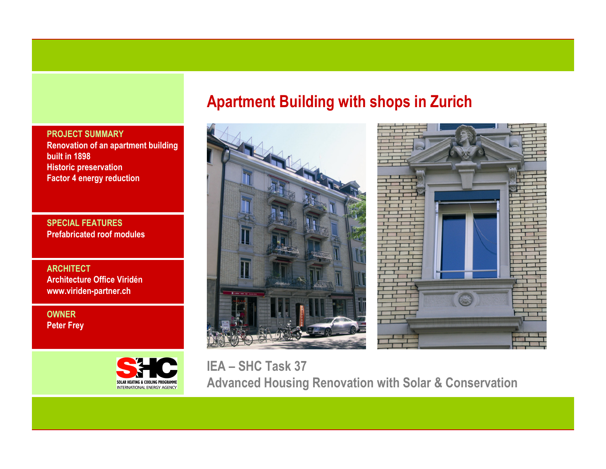PROJECT SUMMARY Renovation of an apartment building built in 1898 Historic preservationFactor 4 energy reduction

SPECIAL FEATURESPrefabricated roof modules

**ARCHITECT**  Architecture Office Viridénwww.viriden-partner.ch

OWNERPeter Frey



# Apartment Building with shops in Zurich





IEA – SHC Task 37 Advanced Housing Renovation with Solar & Conservation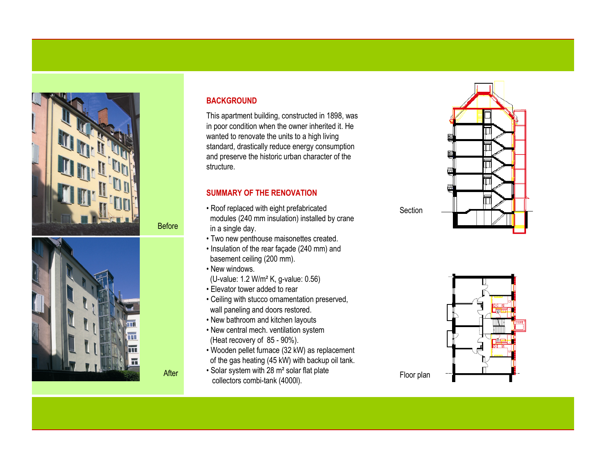



# **BACKGROUND**

This apartment building, constructed in 1898, was in poor condition when the owner inherited it. He wanted to renovate the units to a high living standard, drastically reduce energy consumption and preserve the historic urban character of the structure.

# SUMMARY OF THE RENOVATION

- Roof replaced with eight prefabricated modules (240 mm insulation) installed by crane in a single day.
- Two new penthouse maisonettes created.
- Insulation of the rear façade (240 mm) and basement ceiling (200 mm).
- New windows.

Before

After

- (U-value: 1.2 W/m² K, g-value: 0.56)
- Elevator tower added to rear
- Ceiling with stucco ornamentation preserved, wall paneling and doors restored.
- New bathroom and kitchen layouts
- New central mech. ventilation system (Heat recovery of 85 - 90%).
- Wooden pellet furnace (32 kW) as replacement of the gas heating (45 kW) with backup oil tank.
- Solar system with 28 m² solar flat plate collectors combi-tank (4000l).





**Section**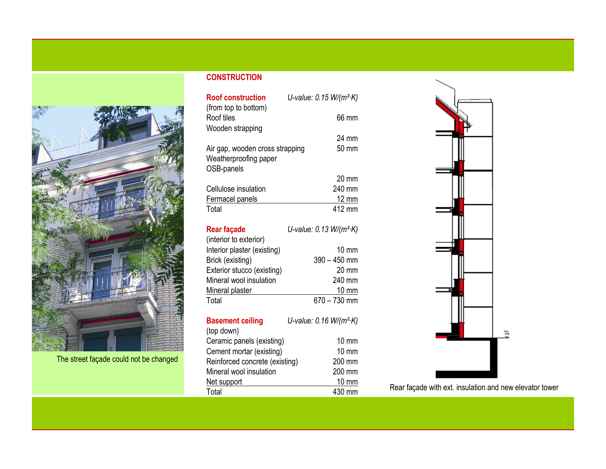

The street façade could not be changed

# **CONSTRUCTION**

| <b>Roof construction</b>        | U-value: $0.15 W/(m^2 K)$ |  |
|---------------------------------|---------------------------|--|
| (from top to bottom)            |                           |  |
| Roof tiles                      | 66 mm                     |  |
| Wooden strapping                |                           |  |
|                                 | 24 mm                     |  |
| Air gap, wooden cross strapping | $50 \text{ mm}$           |  |
| Weatherproofing paper           |                           |  |
| OSB-panels                      |                           |  |
|                                 | $20 \text{ mm}$           |  |
| Cellulose insulation            | 240 mm                    |  |
| Fermacel panels                 | $12 \text{ mm}$           |  |
| Total                           | 412 mm                    |  |
|                                 |                           |  |

| <b>Rear façade</b>          | U-value: 0.13 W/(m <sup>2</sup> ·K) |  |
|-----------------------------|-------------------------------------|--|
| (interior to exterior)      |                                     |  |
| Interior plaster (existing) | $10 \text{ mm}$                     |  |
| Brick (existing)            | $390 - 450$ mm                      |  |
| Exterior stucco (existing)  | 20 mm                               |  |
| Mineral wool insulation     | 240 mm                              |  |
| Mineral plaster             | $10 \text{ mm}$                     |  |
| Total                       | $670 - 730$ mm                      |  |

| <b>Basement ceiling</b>        | U-value: 0.16 W/(m <sup>2</sup> ·K) |
|--------------------------------|-------------------------------------|
| (top down)                     |                                     |
| Ceramic panels (existing)      | $10 \text{ mm}$                     |
| Cement mortar (existing)       | 10 mm                               |
| Reinforced concrete (existing) | 200 mm                              |
| Mineral wool insulation        | 200 mm                              |
| Net support                    | 10 mm                               |
| Total                          | 430 mm                              |



Rear façade with ext. insulation and new elevator tower